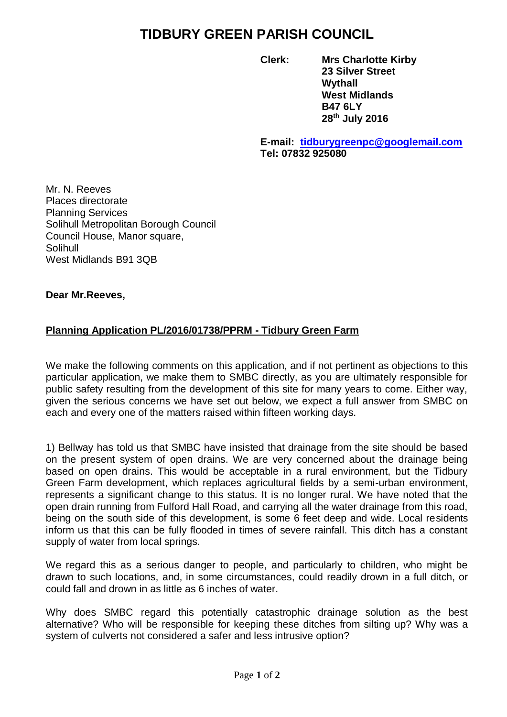# **TIDBURY GREEN PARISH COUNCIL**

**Clerk: Mrs Charlotte Kirby 23 Silver Street Wythall West Midlands B47 6LY 28th July 2016**

**E-mail: [tidburygreenpc@googlemail.com](mailto:tidburygreenpc@googlemail.com) Tel: 07832 925080**

Mr. N. Reeves Places directorate Planning Services Solihull Metropolitan Borough Council Council House, Manor square, Solihull West Midlands B91 3QB

## **Dear Mr.Reeves,**

# **Planning Application PL/2016/01738/PPRM - Tidbury Green Farm**

We make the following comments on this application, and if not pertinent as objections to this particular application, we make them to SMBC directly, as you are ultimately responsible for public safety resulting from the development of this site for many years to come. Either way, given the serious concerns we have set out below, we expect a full answer from SMBC on each and every one of the matters raised within fifteen working days.

1) Bellway has told us that SMBC have insisted that drainage from the site should be based on the present system of open drains. We are very concerned about the drainage being based on open drains. This would be acceptable in a rural environment, but the Tidbury Green Farm development, which replaces agricultural fields by a semi-urban environment, represents a significant change to this status. It is no longer rural. We have noted that the open drain running from Fulford Hall Road, and carrying all the water drainage from this road, being on the south side of this development, is some 6 feet deep and wide. Local residents inform us that this can be fully flooded in times of severe rainfall. This ditch has a constant supply of water from local springs.

We regard this as a serious danger to people, and particularly to children, who might be drawn to such locations, and, in some circumstances, could readily drown in a full ditch, or could fall and drown in as little as 6 inches of water.

Why does SMBC regard this potentially catastrophic drainage solution as the best alternative? Who will be responsible for keeping these ditches from silting up? Why was a system of culverts not considered a safer and less intrusive option?